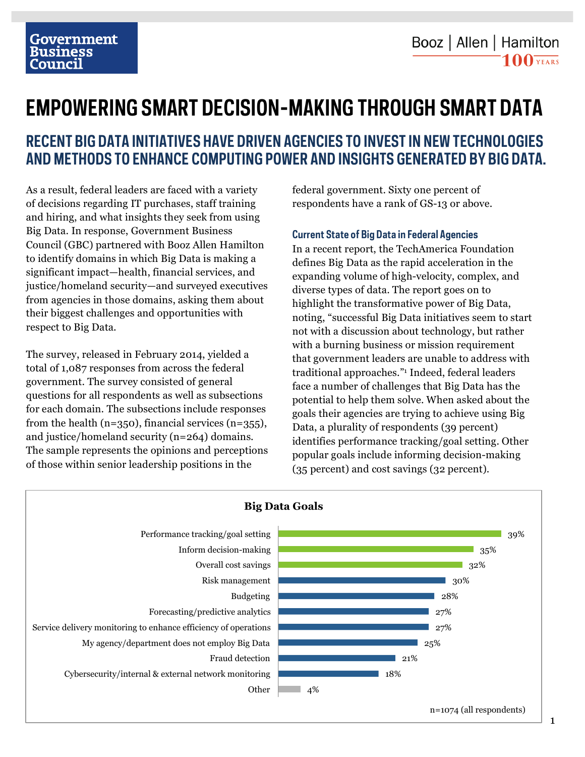# **EMPOWERING SMART DECISION-MAKING THROUGH SMART DATA**

## **RECENT BIG DATA INITIATIVES HAVE DRIVEN AGENCIES TO INVEST IN NEW TECHNOLOGIES AND METHODS TO ENHANCE COMPUTING POWER AND INSIGHTS GENERATED BY BIG DATA.**

As a result, federal leaders are faced with a variety of decisions regarding IT purchases, staff training and hiring, and what insights they seek from using Big Data. In response, Government Business Council (GBC) partnered with Booz Allen Hamilton to identify domains in which Big Data is making a significant impact—health, financial services, and justice/homeland security—and surveyed executives from agencies in those domains, asking them about their biggest challenges and opportunities with respect to Big Data.

The survey, released in February 2014, yielded a total of 1,087 responses from across the federal government. The survey consisted of general questions for all respondents as well as subsections for each domain. The subsections include responses from the health (n=350), financial services (n=355), and justice/homeland security (n=264) domains. The sample represents the opinions and perceptions of those within senior leadership positions in the

federal government. Sixty one percent of respondents have a rank of GS-13 or above.

### **Current State of Big Data in Federal Agencies**

In a recent report, the TechAmerica Foundation defines Big Data as the rapid acceleration in the expanding volume of high-velocity, complex, and diverse types of data. The report goes on to highlight the transformative power of Big Data, noting, "successful Big Data initiatives seem to start not with a discussion about technology, but rather with a burning business or mission requirement that government leaders are unable to address with traditional approaches."1 Indeed, federal leaders face a number of challenges that Big Data has the potential to help them solve. When asked about the goals their agencies are trying to achieve using Big Data, a plurality of respondents (39 percent) identifies performance tracking/goal setting. Other popular goals include informing decision-making (35 percent) and cost savings (32 percent).



### **Big Data Goals**

1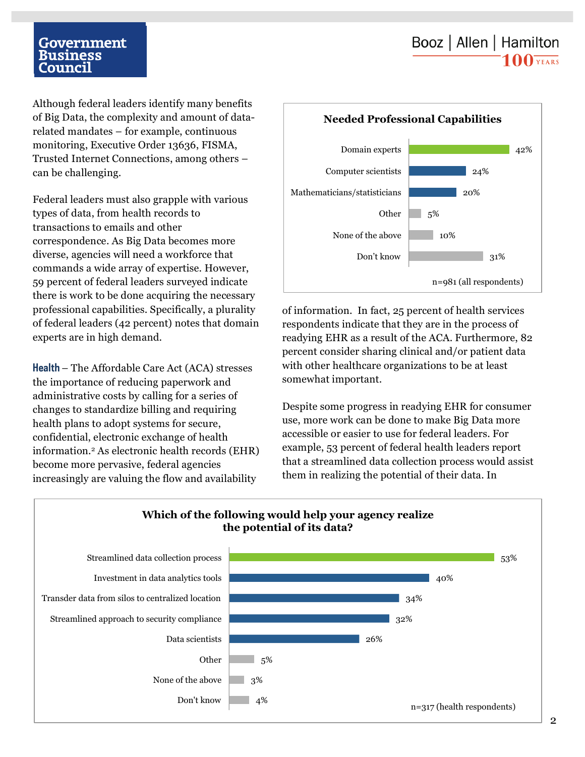## Booz | Allen | Hamilton  $100 \overline{\text{YEARS}}$

### Government **Business** Council

Although federal leaders identify many benefits of Big Data, the complexity and amount of datarelated mandates – for example, continuous monitoring, Executive Order 13636, FISMA, Trusted Internet Connections, among others – can be challenging.

Federal leaders must also grapple with various types of data, from health records to transactions to emails and other correspondence. As Big Data becomes more diverse, agencies will need a workforce that commands a wide array of expertise. However, 59 percent of federal leaders surveyed indicate there is work to be done acquiring the necessary professional capabilities. Specifically, a plurality of federal leaders (42 percent) notes that domain experts are in high demand.

**Health** – The Affordable Care Act (ACA) stresses the importance of reducing paperwork and administrative costs by calling for a series of changes to standardize billing and requiring health plans to adopt systems for secure, confidential, electronic exchange of health information.2 As electronic health records (EHR) become more pervasive, federal agencies increasingly are valuing the flow and availability



of information. In fact, 25 percent of health services respondents indicate that they are in the process of readying EHR as a result of the ACA. Furthermore, 82 percent consider sharing clinical and/or patient data with other healthcare organizations to be at least somewhat important.

Despite some progress in readying EHR for consumer use, more work can be done to make Big Data more accessible or easier to use for federal leaders. For example, 53 percent of federal health leaders report that a streamlined data collection process would assist them in realizing the potential of their data. In

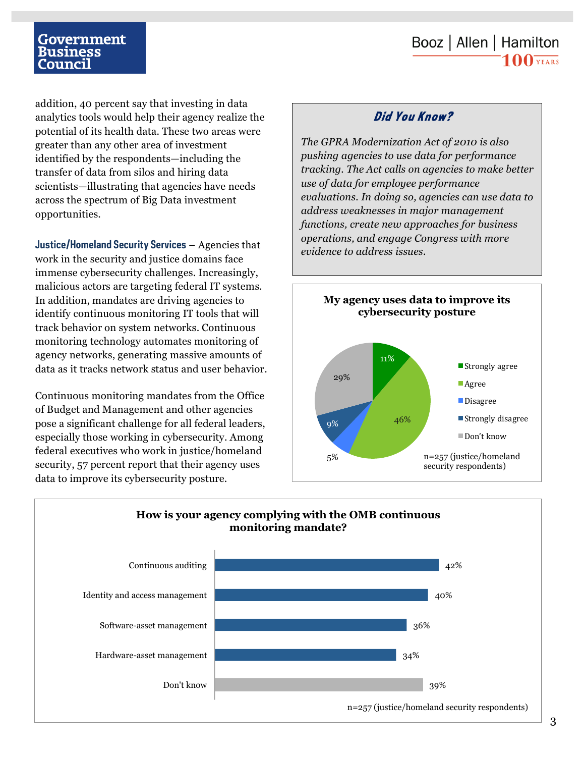## Booz | Allen | Hamilton  $100 \overline{\text{YEARS}}$

### Government Business ounci

addition, 40 percent say that investing in data analytics tools would help their agency realize the potential of its health data. These two areas were greater than any other area of investment identified by the respondents—including the transfer of data from silos and hiring data scientists—illustrating that agencies have needs across the spectrum of Big Data investment opportunities.

**Justice/Homeland Security Services** – Agencies that work in the security and justice domains face immense cybersecurity challenges. Increasingly, malicious actors are targeting federal IT systems. In addition, mandates are driving agencies to identify continuous monitoring IT tools that will track behavior on system networks. Continuous monitoring technology automates monitoring of agency networks, generating massive amounts of data as it tracks network status and user behavior.

Continuous monitoring mandates from the Office of Budget and Management and other agencies pose a significant challenge for all federal leaders, especially those working in cybersecurity. Among federal executives who work in justice/homeland security, 57 percent report that their agency uses data to improve its cybersecurity posture.

### *Did You Know?*

*The GPRA Modernization Act of 2010 is also pushing agencies to use data for performance tracking. The Act calls on agencies to make better use of data for employee performance evaluations. In doing so, agencies can use data to address weaknesses in major management functions, create new approaches for business operations, and engage Congress with more evidence to address issues.* 



### 39% 34% 36% 40% 42% Don't know Hardware-asset management Software-asset management Identity and access management Continuous auditing n=257 (justice/homeland security respondents) **How is your agency complying with the OMB continuous monitoring mandate?**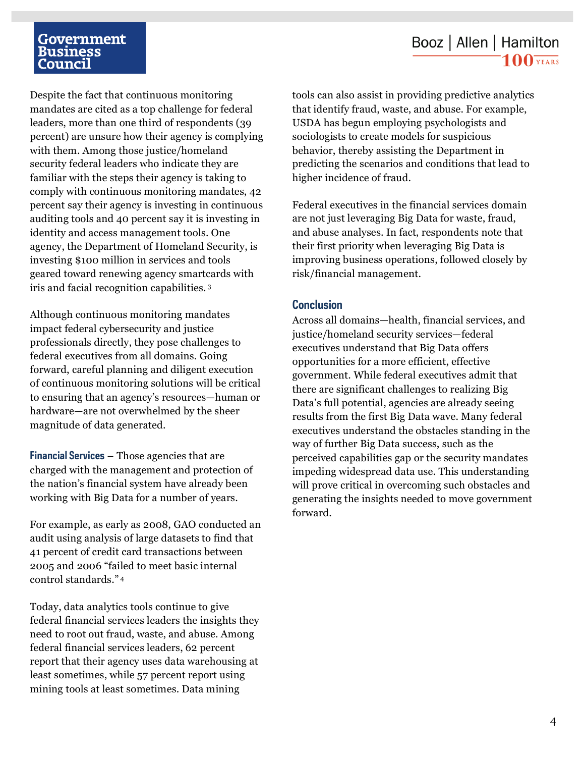### Government Business Council

## Booz | Allen | Hamilton  $100$  YEARS

Despite the fact that continuous monitoring mandates are cited as a top challenge for federal leaders, more than one third of respondents (39 percent) are unsure how their agency is complying with them. Among those justice/homeland security federal leaders who indicate they are familiar with the steps their agency is taking to comply with continuous monitoring mandates, 42 percent say their agency is investing in continuous auditing tools and 40 percent say it is investing in identity and access management tools. One agency, the Department of Homeland Security, is investing \$100 million in services and tools geared toward renewing agency smartcards with iris and facial recognition capabilities. 3

Although continuous monitoring mandates impact federal cybersecurity and justice professionals directly, they pose challenges to federal executives from all domains. Going forward, careful planning and diligent execution of continuous monitoring solutions will be critical to ensuring that an agency's resources—human or hardware—are not overwhelmed by the sheer magnitude of data generated.

**Financial Services** – Those agencies that are charged with the management and protection of the nation's financial system have already been working with Big Data for a number of years.

For example, as early as 2008, GAO conducted an audit using analysis of large datasets to find that 41 percent of credit card transactions between 2005 and 2006 "failed to meet basic internal control standards." <sup>4</sup>

Today, data analytics tools continue to give federal financial services leaders the insights they need to root out fraud, waste, and abuse. Among federal financial services leaders, 62 percent report that their agency uses data warehousing at least sometimes, while 57 percent report using mining tools at least sometimes. Data mining

tools can also assist in providing predictive analytics that identify fraud, waste, and abuse. For example, USDA has begun employing psychologists and sociologists to create models for suspicious behavior, thereby assisting the Department in predicting the scenarios and conditions that lead to higher incidence of fraud.

Federal executives in the financial services domain are not just leveraging Big Data for waste, fraud, and abuse analyses. In fact, respondents note that their first priority when leveraging Big Data is improving business operations, followed closely by risk/financial management.

### **Conclusion**

Across all domains—health, financial services, and justice/homeland security services—federal executives understand that Big Data offers opportunities for a more efficient, effective government. While federal executives admit that there are significant challenges to realizing Big Data's full potential, agencies are already seeing results from the first Big Data wave. Many federal executives understand the obstacles standing in the way of further Big Data success, such as the perceived capabilities gap or the security mandates impeding widespread data use. This understanding will prove critical in overcoming such obstacles and generating the insights needed to move government forward.